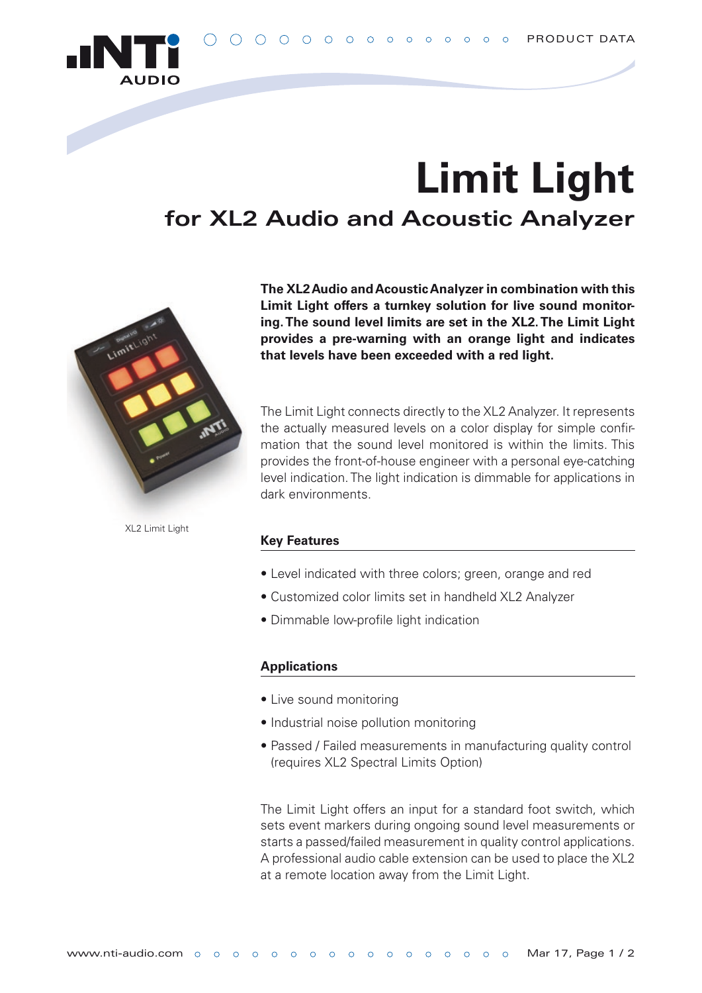

# **Limit Light for XL2 Audio and Acoustic Analyzer**



**The XL2 Audio and Acoustic Analyzer in combination with this Limit Light offers a turnkey solution for live sound monitoring. The sound level limits are set in the XL2. The Limit Light provides a pre-warning with an orange light and indicates that levels have been exceeded with a red light.**

The Limit Light connects directly to the XL2 Analyzer. It represents the actually measured levels on a color display for simple confirmation that the sound level monitored is within the limits. This provides the front-of-house engineer with a personal eye-catching level indication. The light indication is dimmable for applications in dark environments.

XL2 Limit Light

#### **Key Features**

- Level indicated with three colors; green, orange and red
- Customized color limits set in handheld XL2 Analyzer
- Dimmable low-profile light indication

### **Applications**

- Live sound monitoring
- Industrial noise pollution monitoring
- Passed / Failed measurements in manufacturing quality control (requires XL2 Spectral Limits Option)

The Limit Light offers an input for a standard foot switch, which sets event markers during ongoing sound level measurements or starts a passed/failed measurement in quality control applications. A professional audio cable extension can be used to place the XL2 at a remote location away from the Limit Light.